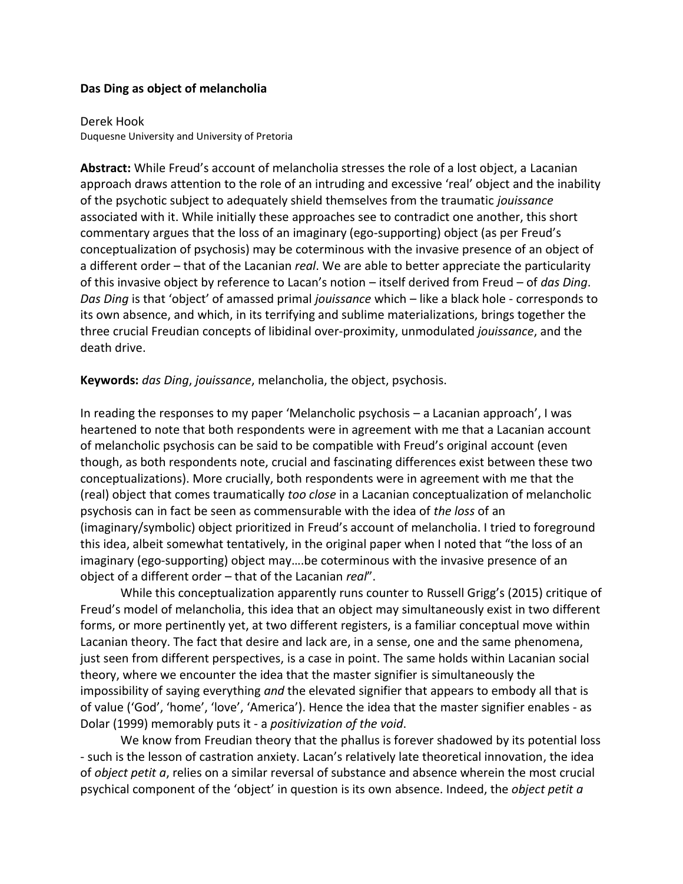## **Das Ding as object of melancholia**

Derek Hook Duquesne University and University of Pretoria

**Abstract:** While Freud's account of melancholia stresses the role of a lost object, a Lacanian approach draws attention to the role of an intruding and excessive 'real' object and the inability of the psychotic subject to adequately shield themselves from the traumatic *jouissance* associated with it. While initially these approaches see to contradict one another, this short commentary argues that the loss of an imaginary (ego-supporting) object (as per Freud's conceptualization of psychosis) may be coterminous with the invasive presence of an object of a different order – that of the Lacanian *real*. We are able to better appreciate the particularity of this invasive object by reference to Lacan's notion – itself derived from Freud – of *das Ding*. *Das Ding* is that 'object' of amassed primal *jouissance* which – like a black hole - corresponds to its own absence, and which, in its terrifying and sublime materializations, brings together the three crucial Freudian concepts of libidinal over-proximity, unmodulated *jouissance*, and the death drive.

**Keywords:** *das Ding*, *jouissance*, melancholia, the object, psychosis.

In reading the responses to my paper 'Melancholic psychosis – a Lacanian approach', I was heartened to note that both respondents were in agreement with me that a Lacanian account of melancholic psychosis can be said to be compatible with Freud's original account (even though, as both respondents note, crucial and fascinating differences exist between these two conceptualizations). More crucially, both respondents were in agreement with me that the (real) object that comes traumatically *too close* in a Lacanian conceptualization of melancholic psychosis can in fact be seen as commensurable with the idea of *the loss* of an (imaginary/symbolic) object prioritized in Freud's account of melancholia. I tried to foreground this idea, albeit somewhat tentatively, in the original paper when I noted that "the loss of an imaginary (ego-supporting) object may….be coterminous with the invasive presence of an object of a different order – that of the Lacanian *real*".

While this conceptualization apparently runs counter to Russell Grigg's (2015) critique of Freud's model of melancholia, this idea that an object may simultaneously exist in two different forms, or more pertinently yet, at two different registers, is a familiar conceptual move within Lacanian theory. The fact that desire and lack are, in a sense, one and the same phenomena, just seen from different perspectives, is a case in point. The same holds within Lacanian social theory, where we encounter the idea that the master signifier is simultaneously the impossibility of saying everything *and* the elevated signifier that appears to embody all that is of value ('God', 'home', 'love', 'America'). Hence the idea that the master signifier enables - as Dolar (1999) memorably puts it - a *positivization of the void*.

We know from Freudian theory that the phallus is forever shadowed by its potential loss - such is the lesson of castration anxiety. Lacan's relatively late theoretical innovation, the idea of *object petit a*, relies on a similar reversal of substance and absence wherein the most crucial psychical component of the 'object' in question is its own absence. Indeed, the *object petit a*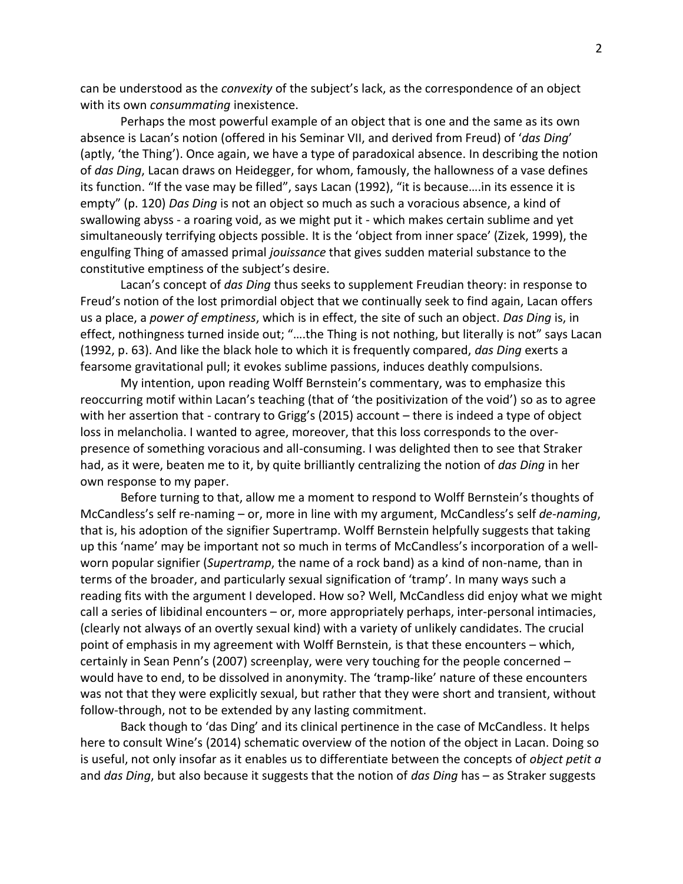can be understood as the *convexity* of the subject's lack, as the correspondence of an object with its own *consummating* inexistence.

Perhaps the most powerful example of an object that is one and the same as its own absence is Lacan's notion (offered in his Seminar VII, and derived from Freud) of '*das Ding*' (aptly, 'the Thing'). Once again, we have a type of paradoxical absence. In describing the notion of *das Ding*, Lacan draws on Heidegger, for whom, famously, the hallowness of a vase defines its function. "If the vase may be filled", says Lacan (1992), "it is because….in its essence it is empty" (p. 120) *Das Ding* is not an object so much as such a voracious absence, a kind of swallowing abyss - a roaring void, as we might put it - which makes certain sublime and yet simultaneously terrifying objects possible. It is the 'object from inner space' (Zizek, 1999), the engulfing Thing of amassed primal *jouissance* that gives sudden material substance to the constitutive emptiness of the subject's desire.

Lacan's concept of *das Ding* thus seeks to supplement Freudian theory: in response to Freud's notion of the lost primordial object that we continually seek to find again, Lacan offers us a place, a *power of emptiness*, which is in effect, the site of such an object. *Das Ding* is, in effect, nothingness turned inside out; "….the Thing is not nothing, but literally is not" says Lacan (1992, p. 63). And like the black hole to which it is frequently compared, *das Ding* exerts a fearsome gravitational pull; it evokes sublime passions, induces deathly compulsions.

My intention, upon reading Wolff Bernstein's commentary, was to emphasize this reoccurring motif within Lacan's teaching (that of 'the positivization of the void') so as to agree with her assertion that - contrary to Grigg's (2015) account – there is indeed a type of object loss in melancholia. I wanted to agree, moreover, that this loss corresponds to the overpresence of something voracious and all-consuming. I was delighted then to see that Straker had, as it were, beaten me to it, by quite brilliantly centralizing the notion of *das Ding* in her own response to my paper.

Before turning to that, allow me a moment to respond to Wolff Bernstein's thoughts of McCandless's self re-naming – or, more in line with my argument, McCandless's self *de-naming*, that is, his adoption of the signifier Supertramp. Wolff Bernstein helpfully suggests that taking up this 'name' may be important not so much in terms of McCandless's incorporation of a wellworn popular signifier (*Supertramp*, the name of a rock band) as a kind of non-name, than in terms of the broader, and particularly sexual signification of 'tramp'. In many ways such a reading fits with the argument I developed. How so? Well, McCandless did enjoy what we might call a series of libidinal encounters – or, more appropriately perhaps, inter-personal intimacies, (clearly not always of an overtly sexual kind) with a variety of unlikely candidates. The crucial point of emphasis in my agreement with Wolff Bernstein, is that these encounters – which, certainly in Sean Penn's (2007) screenplay, were very touching for the people concerned – would have to end, to be dissolved in anonymity. The 'tramp-like' nature of these encounters was not that they were explicitly sexual, but rather that they were short and transient, without follow-through, not to be extended by any lasting commitment.

Back though to 'das Ding' and its clinical pertinence in the case of McCandless. It helps here to consult Wine's (2014) schematic overview of the notion of the object in Lacan. Doing so is useful, not only insofar as it enables us to differentiate between the concepts of *object petit a* and *das Ding*, but also because it suggests that the notion of *das Ding* has – as Straker suggests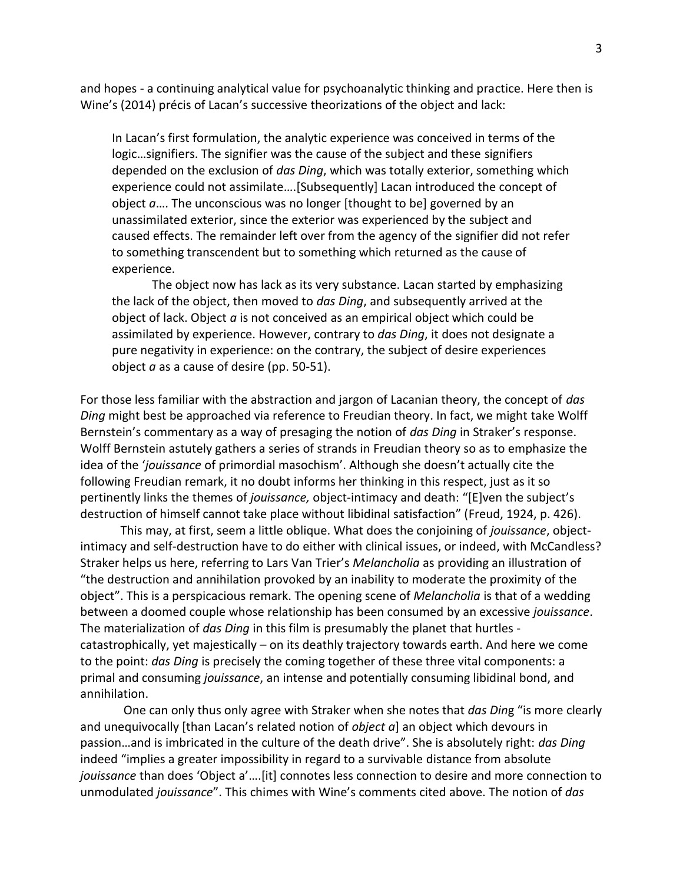and hopes - a continuing analytical value for psychoanalytic thinking and practice. Here then is Wine's (2014) précis of Lacan's successive theorizations of the object and lack:

In Lacan's first formulation, the analytic experience was conceived in terms of the logic…signifiers. The signifier was the cause of the subject and these signifiers depended on the exclusion of *das Ding*, which was totally exterior, something which experience could not assimilate….[Subsequently] Lacan introduced the concept of object *a*…. The unconscious was no longer [thought to be] governed by an unassimilated exterior, since the exterior was experienced by the subject and caused effects. The remainder left over from the agency of the signifier did not refer to something transcendent but to something which returned as the cause of experience.

The object now has lack as its very substance. Lacan started by emphasizing the lack of the object, then moved to *das Ding*, and subsequently arrived at the object of lack. Object *a* is not conceived as an empirical object which could be assimilated by experience. However, contrary to *das Ding*, it does not designate a pure negativity in experience: on the contrary, the subject of desire experiences object *a* as a cause of desire (pp. 50-51).

For those less familiar with the abstraction and jargon of Lacanian theory, the concept of *das Ding* might best be approached via reference to Freudian theory. In fact, we might take Wolff Bernstein's commentary as a way of presaging the notion of *das Ding* in Straker's response. Wolff Bernstein astutely gathers a series of strands in Freudian theory so as to emphasize the idea of the '*jouissance* of primordial masochism'. Although she doesn't actually cite the following Freudian remark, it no doubt informs her thinking in this respect, just as it so pertinently links the themes of *jouissance,* object-intimacy and death: "[E]ven the subject's destruction of himself cannot take place without libidinal satisfaction" (Freud, 1924, p. 426).

This may, at first, seem a little oblique. What does the conjoining of *jouissance*, objectintimacy and self-destruction have to do either with clinical issues, or indeed, with McCandless? Straker helps us here, referring to Lars Van Trier's *Melancholia* as providing an illustration of "the destruction and annihilation provoked by an inability to moderate the proximity of the object". This is a perspicacious remark. The opening scene of *Melancholia* is that of a wedding between a doomed couple whose relationship has been consumed by an excessive *jouissance*. The materialization of *das Ding* in this film is presumably the planet that hurtles catastrophically, yet majestically – on its deathly trajectory towards earth. And here we come to the point: *das Ding* is precisely the coming together of these three vital components: a primal and consuming *jouissance*, an intense and potentially consuming libidinal bond, and annihilation.

One can only thus only agree with Straker when she notes that *das Din*g "is more clearly and unequivocally [than Lacan's related notion of *object a*] an object which devours in passion…and is imbricated in the culture of the death drive". She is absolutely right: *das Ding* indeed "implies a greater impossibility in regard to a survivable distance from absolute *jouissance* than does 'Object a'….[it] connotes less connection to desire and more connection to unmodulated *jouissance*". This chimes with Wine's comments cited above. The notion of *das*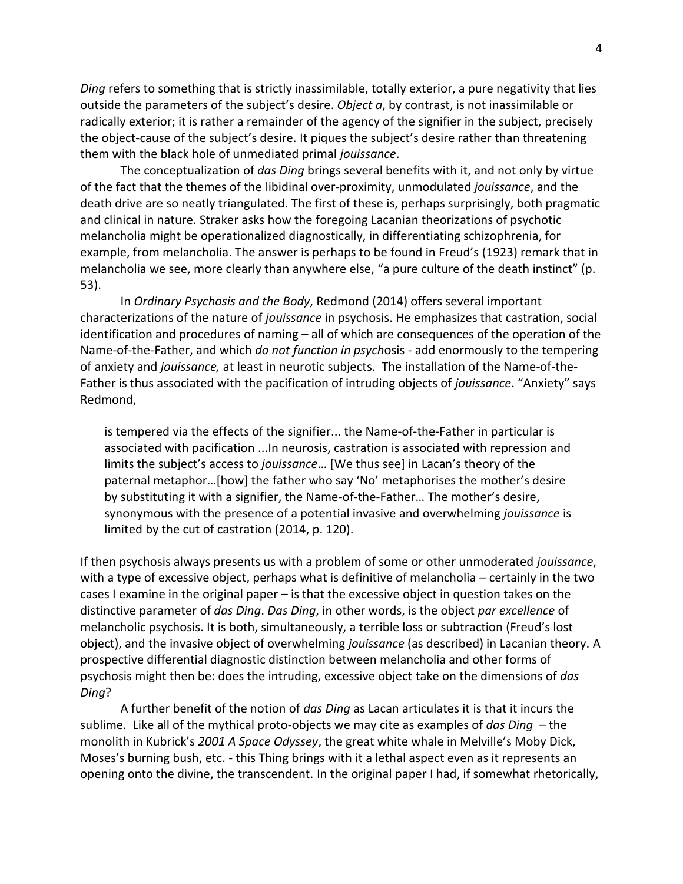*Ding* refers to something that is strictly inassimilable, totally exterior, a pure negativity that lies outside the parameters of the subject's desire. *Object a*, by contrast, is not inassimilable or radically exterior; it is rather a remainder of the agency of the signifier in the subject, precisely the object-cause of the subject's desire. It piques the subject's desire rather than threatening them with the black hole of unmediated primal *jouissance*.

The conceptualization of *das Ding* brings several benefits with it, and not only by virtue of the fact that the themes of the libidinal over-proximity, unmodulated *jouissance*, and the death drive are so neatly triangulated. The first of these is, perhaps surprisingly, both pragmatic and clinical in nature. Straker asks how the foregoing Lacanian theorizations of psychotic melancholia might be operationalized diagnostically, in differentiating schizophrenia, for example, from melancholia. The answer is perhaps to be found in Freud's (1923) remark that in melancholia we see, more clearly than anywhere else, "a pure culture of the death instinct" (p. 53).

In *Ordinary Psychosis and the Body*, Redmond (2014) offers several important characterizations of the nature of *jouissance* in psychosis. He emphasizes that castration, social identification and procedures of naming – all of which are consequences of the operation of the Name-of-the-Father, and which *do not function in psych*osis - add enormously to the tempering of anxiety and *jouissance,* at least in neurotic subjects. The installation of the Name-of-the-Father is thus associated with the pacification of intruding objects of *jouissance*. "Anxiety" says Redmond,

is tempered via the effects of the signifier... the Name-of-the-Father in particular is associated with pacification ...In neurosis, castration is associated with repression and limits the subject's access to *jouissance*… [We thus see] in Lacan's theory of the paternal metaphor…[how] the father who say 'No' metaphorises the mother's desire by substituting it with a signifier, the Name-of-the-Father… The mother's desire, synonymous with the presence of a potential invasive and overwhelming *jouissance* is limited by the cut of castration (2014, p. 120).

If then psychosis always presents us with a problem of some or other unmoderated *jouissance*, with a type of excessive object, perhaps what is definitive of melancholia – certainly in the two cases I examine in the original paper – is that the excessive object in question takes on the distinctive parameter of *das Ding*. *Das Ding*, in other words, is the object *par excellence* of melancholic psychosis. It is both, simultaneously, a terrible loss or subtraction (Freud's lost object), and the invasive object of overwhelming *jouissance* (as described) in Lacanian theory. A prospective differential diagnostic distinction between melancholia and other forms of psychosis might then be: does the intruding, excessive object take on the dimensions of *das Ding*?

A further benefit of the notion of *das Ding* as Lacan articulates it is that it incurs the sublime. Like all of the mythical proto-objects we may cite as examples of *das Ding* – the monolith in Kubrick's *2001 A Space Odyssey*, the great white whale in Melville's Moby Dick, Moses's burning bush, etc. - this Thing brings with it a lethal aspect even as it represents an opening onto the divine, the transcendent. In the original paper I had, if somewhat rhetorically,